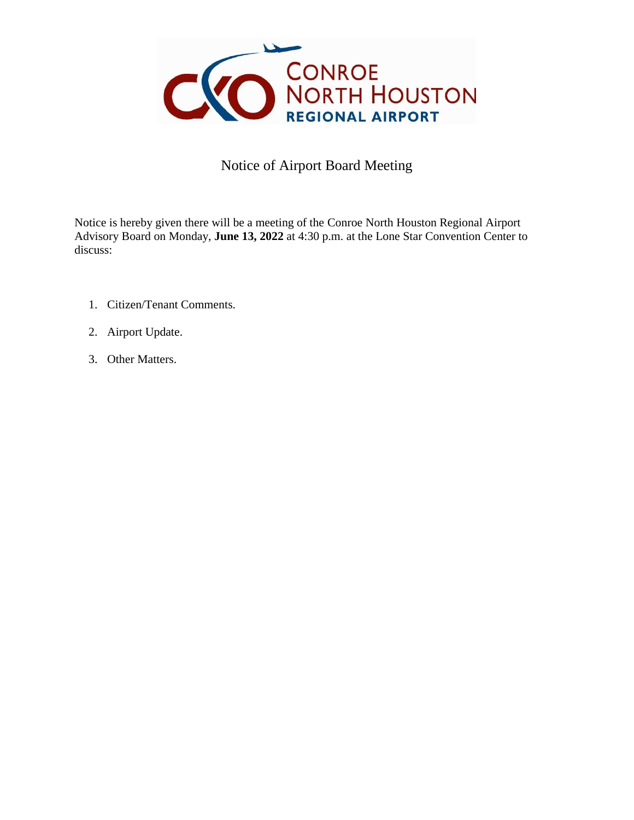

## Notice of Airport Board Meeting

Notice is hereby given there will be a meeting of the Conroe North Houston Regional Airport Advisory Board on Monday, **June 13, 2022** at 4:30 p.m. at the Lone Star Convention Center to discuss:

- 1. Citizen/Tenant Comments.
- 2. Airport Update.
- 3. Other Matters.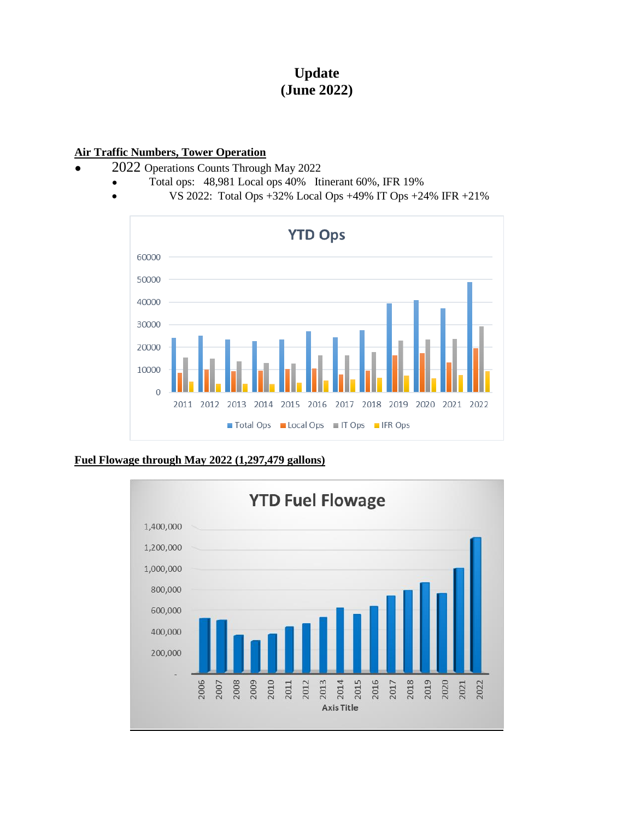# **Update (June 2022)**

#### **Air Traffic Numbers, Tower Operation**

- 2022 Operations Counts Through May 2022
	- Total ops: 48,981 Local ops 40% Itinerant 60%, IFR 19%
		- VS 2022: Total Ops +32% Local Ops +49% IT Ops +24% IFR +21%



#### **Fuel Flowage through May 2022 (1,297,479 gallons)**